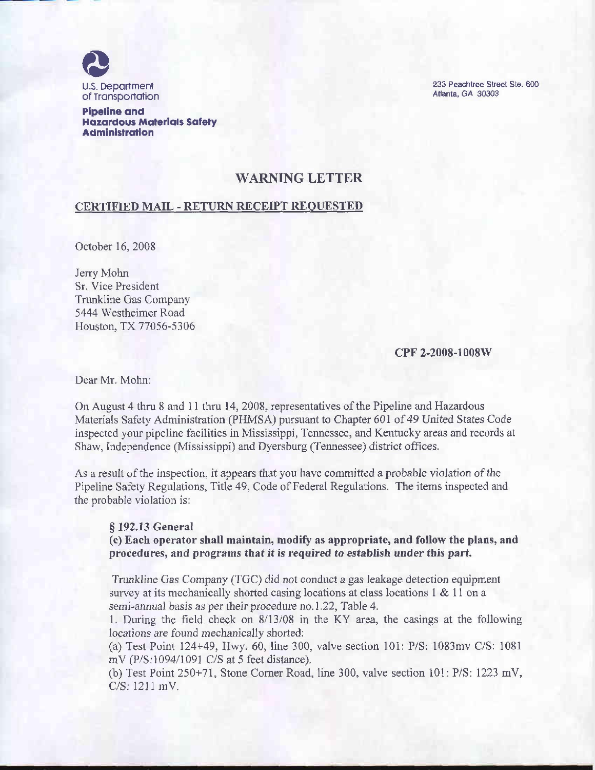

Pipeline and Hazardous Materials Safety Administration

233 Peachtree Street Ste. 600 Atlanta, GA 30303

## WARNING LETTER

## CERTIFIED MAIL - RETURN RECEIPT REQUESTED

October 16, 2008

Jerry Mohn Sr, Vice President Trunkline Gas Company 5444 Westheimer Road Houston, TX 77056-5306

CPF 2-2008-1008W

Dear Mr. Mohn:

On August 4 thru 8 and 11 thru 14, 2008, representatives of the Pipeline and Hazardous Materials Safety Administration (PHMSA) pursuant to Chapter 601 of 49 United States Code inspected your pipeline facilities in Mississippi, Tennessee, and Kentucky areas and records at Shaw, Independence (Mississippi) and Dyersburg (Tennessee) district offices.

As a result of the inspection, it appears that you have committed a probable violation of the Pipeline Safety Regulations, Title 49, Code of Federal Regulations. The items inspected and the probable violation is:

## $§$  192.13 General

(c) Each operator shall maintain, modify as appropriate, and follow the plans, and procedures, and programs that it is required to establish under this part.

Trunkline Gas Company (TGC) did not conduct a gas leakage detection equipment survey at its mechanically shorted casing locations at class locations 1 & 11 on a semi-annual basis as per their procedure no.1.22, Table 4.

1. During the field check on 8/13/08 in the KY area, the casings at the following locations are found mechanically shorted:

(a) Test Point 124+49, Hwy. 60, line 300, valve section 101: P/S: 1083mv C/S: 1081 mV (P/S:1094/1091 C/S at 5 feet distance).

(b) Test Point 250+71, Stone Corner Road, line 300, valve section 101: P/S: 1223 mV, C/S: 1211 mV.